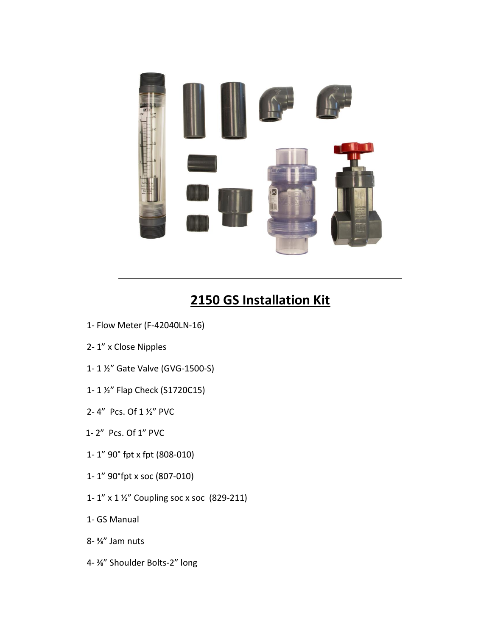

## **2150 GS Installation Kit**

- 1- Flow Meter (F-42040LN-16)
- 2- 1" x Close Nipples
- 1- 1 ½" Gate Valve (GVG-1500-S)
- 1- 1 ½" Flap Check (S1720C15)
- 2- 4" Pcs. Of 1 ½" PVC
- 1- 2" Pcs. Of 1" PVC
- 1- 1" 90° fpt x fpt (808-010)
- 1- 1" 90°fpt x soc (807-010)
- 1- 1" x 1 ½" Coupling soc x soc (829-211)
- 1- GS Manual
- 8- ⅜" Jam nuts
- 4- ⅜" Shoulder Bolts-2" long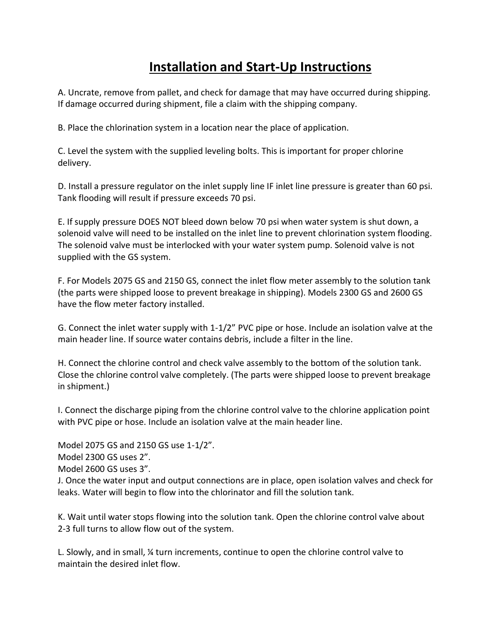## **Installation and Start-Up Instructions**

A. Uncrate, remove from pallet, and check for damage that may have occurred during shipping. If damage occurred during shipment, file a claim with the shipping company.

B. Place the chlorination system in a location near the place of application.

C. Level the system with the supplied leveling bolts. This is important for proper chlorine delivery.

D. Install a pressure regulator on the inlet supply line IF inlet line pressure is greater than 60 psi. Tank flooding will result if pressure exceeds 70 psi.

E. If supply pressure DOES NOT bleed down below 70 psi when water system is shut down, a solenoid valve will need to be installed on the inlet line to prevent chlorination system flooding. The solenoid valve must be interlocked with your water system pump. Solenoid valve is not supplied with the GS system.

F. For Models 2075 GS and 2150 GS, connect the inlet flow meter assembly to the solution tank (the parts were shipped loose to prevent breakage in shipping). Models 2300 GS and 2600 GS have the flow meter factory installed.

G. Connect the inlet water supply with 1-1/2" PVC pipe or hose. Include an isolation valve at the main header line. If source water contains debris, include a filter in the line.

H. Connect the chlorine control and check valve assembly to the bottom of the solution tank. Close the chlorine control valve completely. (The parts were shipped loose to prevent breakage in shipment.)

I. Connect the discharge piping from the chlorine control valve to the chlorine application point with PVC pipe or hose. Include an isolation valve at the main header line.

Model 2075 GS and 2150 GS use 1-1/2".

Model 2300 GS uses 2".

Model 2600 GS uses 3".

J. Once the water input and output connections are in place, open isolation valves and check for leaks. Water will begin to flow into the chlorinator and fill the solution tank.

K. Wait until water stops flowing into the solution tank. Open the chlorine control valve about 2-3 full turns to allow flow out of the system.

L. Slowly, and in small, ¼ turn increments, continue to open the chlorine control valve to maintain the desired inlet flow.